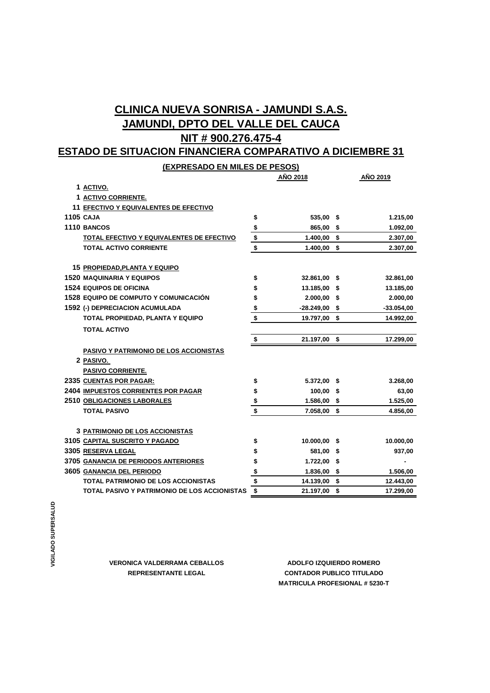# **CLINICA NUEVA SONRISA - JAMUNDI S.A.S. JAMUNDI, DPTO DEL VALLE DEL CAUCA NIT # 900.276.475-4**

## **ESTADO DE SITUACION FINANCIERA COMPARATIVO A DICIEMBRE 31**

**(EXPRESADO EN MILES DE PESOS)**

|                                               |                         | AÑO 2018        |      | AÑO 2019     |
|-----------------------------------------------|-------------------------|-----------------|------|--------------|
| 1 ACTIVO.                                     |                         |                 |      |              |
| 1 ACTIVO CORRIENTE.                           |                         |                 |      |              |
| 11 EFECTIVO Y EQUIVALENTES DE EFECTIVO        |                         |                 |      |              |
| <b>1105 CAJA</b>                              | \$                      | 535,00 \$       |      | 1.215,00     |
| <b>1110 BANCOS</b>                            |                         | 865,00 \$       |      | 1.092,00     |
| TOTAL EFECTIVO Y EQUIVALENTES DE EFECTIVO     | $\frac{1}{2}$           | $1.400,00$ \$   |      | 2.307,00     |
| <b>TOTAL ACTIVO CORRIENTE</b>                 |                         | $1.400,00$ \$   |      | 2.307,00     |
| 15 PROPIEDAD, PLANTA Y EQUIPO                 |                         |                 |      |              |
| <b>1520 MAQUINARIA Y EQUIPOS</b>              | \$                      | 32.861,00 \$    |      | 32.861,00    |
| <b>1524 EQUIPOS DE OFICINA</b>                | \$                      | 13.185,00       | - \$ | 13.185,00    |
| <b>1528 EQUIPO DE COMPUTO Y COMUNICACIÓN</b>  | \$                      | $2.000,00$ \$   |      | 2.000,00     |
| 1592 (-) DEPRECIACION ACUMULADA               | \$                      | $-28.249,00$ \$ |      | $-33.054,00$ |
| TOTAL PROPIEDAD, PLANTA Y EQUIPO              | \$                      | 19.797,00 \$    |      | 14.992,00    |
| <b>TOTAL ACTIVO</b>                           |                         |                 |      |              |
|                                               | \$                      | 21.197,00 \$    |      | 17.299,00    |
| <b>PASIVO Y PATRIMONIO DE LOS ACCIONISTAS</b> |                         |                 |      |              |
| 2 PASIVO.                                     |                         |                 |      |              |
| <b>PASIVO CORRIENTE.</b>                      |                         |                 |      |              |
| 2335 CUENTAS POR PAGAR:                       | \$                      | 5.372,00 \$     |      | 3.268,00     |
| <b>2404 IMPUESTOS CORRIENTES POR PAGAR</b>    | \$                      | $100,00$ \$     |      | 63,00        |
| <b>2510 OBLIGACIONES LABORALES</b>            | \$                      | $1.586,00$ \$   |      | 1.525,00     |
| <b>TOTAL PASIVO</b>                           | $\overline{\mathbf{s}}$ | $7.058,00$ \$   |      | 4.856,00     |
|                                               |                         |                 |      |              |
| <b>3 PATRIMONIO DE LOS ACCIONISTAS</b>        |                         |                 |      |              |
| 3105 CAPITAL SUSCRITO Y PAGADO                | \$                      | 10.000,00 \$    |      | 10.000,00    |
| 3305 RESERVA LEGAL                            | \$                      | 581,00          | -\$  | 937,00       |
| 3705 GANANCIA DE PERIODOS ANTERIORES          | \$                      | 1.722,00 \$     |      |              |
| 3605 GANANCIA DEL PERIODO                     | \$                      | $1.836,00$ \$   |      | 1.506,00     |
| <b>TOTAL PATRIMONIO DE LOS ACCIONISTAS</b>    | \$                      | 14.139,00 \$    |      | 12.443,00    |
| TOTAL PASIVO Y PATRIMONIO DE LOS ACCIONISTAS  | \$                      | 21.197,00 \$    |      | 17.299,00    |

**MATRICULA PROFESIONAL # 5230-T REPRESENTANTE LEGAL CONTADOR PUBLICO TITULADO VERONICA VALDERRAMA CEBALLOS ADOLFO IZQUIERDO ROMERO**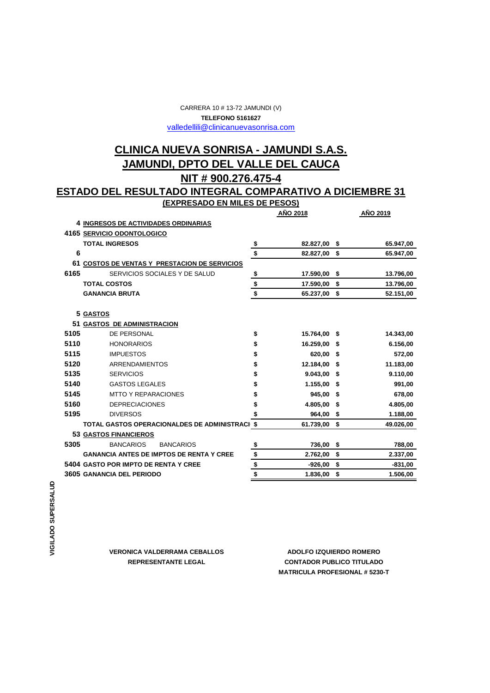#### CARRERA 10 # 13-72 JAMUNDI (V) valledellili@clinicanuevasonrisa.com **TELEFONO 5161627**

### **NIT # 900.276.475-4 CLINICA NUEVA SONRISA - JAMUNDI S.A.S. JAMUNDI, DPTO DEL VALLE DEL CAUCA**

### **(EXPRESADO EN MILES DE PESOS) ESTADO DEL RESULTADO INTEGRAL COMPARATIVO A DICIEMBRE 31**

|      |                                                   |                | AÑO 2018     |      | <b>AÑO 2019</b> |
|------|---------------------------------------------------|----------------|--------------|------|-----------------|
|      | 4 INGRESOS DE ACTIVIDADES ORDINARIAS              |                |              |      |                 |
|      | 4165 SERVICIO ODONTOLOGICO                        |                |              |      |                 |
|      | <b>TOTAL INGRESOS</b>                             | \$             | 82.827,00    | \$   | 65.947,00       |
| 6    |                                                   | \$             | 82.827,00 \$ |      | 65.947,00       |
| 61   | <b>COSTOS DE VENTAS Y PRESTACION DE SERVICIOS</b> |                |              |      |                 |
| 6165 | SERVICIOS SOCIALES Y DE SALUD                     | \$             | 17.590.00    | \$   | 13.796,00       |
|      | <b>TOTAL COSTOS</b>                               | \$             | 17.590,00    | \$   | 13.796,00       |
|      | <b>GANANCIA BRUTA</b>                             | \$             | 65.237,00 \$ |      | 52.151,00       |
|      |                                                   |                |              |      |                 |
|      | 5 GASTOS                                          |                |              |      |                 |
|      | 51 GASTOS DE ADMINISTRACION                       |                |              |      |                 |
| 5105 | DE PERSONAL                                       | \$             | 15.764,00    | \$   | 14.343,00       |
| 5110 | <b>HONORARIOS</b>                                 | \$             | 16.259,00    | - \$ | 6.156,00        |
| 5115 | <b>IMPUESTOS</b>                                  | \$             | 620,00 \$    |      | 572,00          |
| 5120 | <b>ARRENDAMIENTOS</b>                             | \$             | 12.184,00    | - \$ | 11.183,00       |
| 5135 | <b>SERVICIOS</b>                                  | \$             | 9.043.00     | \$   | 9.110,00        |
| 5140 | <b>GASTOS LEGALES</b>                             | \$             | 1.155,00     | \$   | 991,00          |
| 5145 | <b>MTTO Y REPARACIONES</b>                        | \$             | 945,00       | - \$ | 678,00          |
| 5160 | <b>DEPRECIACIONES</b>                             | \$             | 4.805,00 \$  |      | 4.805,00        |
| 5195 | <b>DIVERSOS</b>                                   |                | 964,00       | \$   | 1.188,00        |
|      | TOTAL GASTOS OPERACIONALDES DE ADMINISTRACI \$    |                | 61.739,00    | \$   | 49.026,00       |
|      | <b>53 GASTOS FINANCIEROS</b>                      |                |              |      |                 |
| 5305 | <b>BANCARIOS</b><br><b>BANCARIOS</b>              | \$             | 736,00       | - \$ | 788,00          |
|      | <b>GANANCIA ANTES DE IMPTOS DE RENTA Y CREE</b>   | $$\mathbb{S}$$ | 2.762,00     | - \$ | 2.337,00        |
|      | 5404 GASTO POR IMPTO DE RENTA Y CREE              | \$             | $-926,00$    | \$   | $-831,00$       |
|      | 3605 GANANCIA DEL PERIODO                         | \$             | 1.836,00     | \$   | 1.506,00        |

**VERONICA VALDERRAMA CEBALLOS**

**ADOLFO IZQUIERDO ROMERO MATRICULA PROFESIONAL # 5230-T REPRESENTANTE LEGAL CONTADOR PUBLICO TITULADO**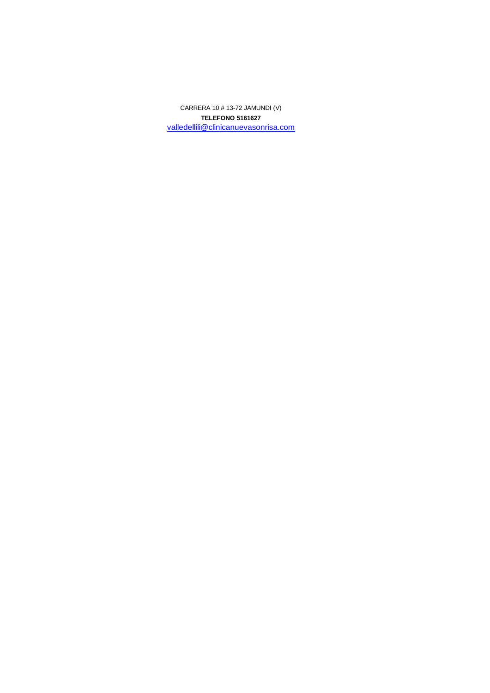**TELEFONO 5161627** valledellili@clinicanuevasonrisa.com CARRERA 10 # 13-72 JAMUNDI (V)